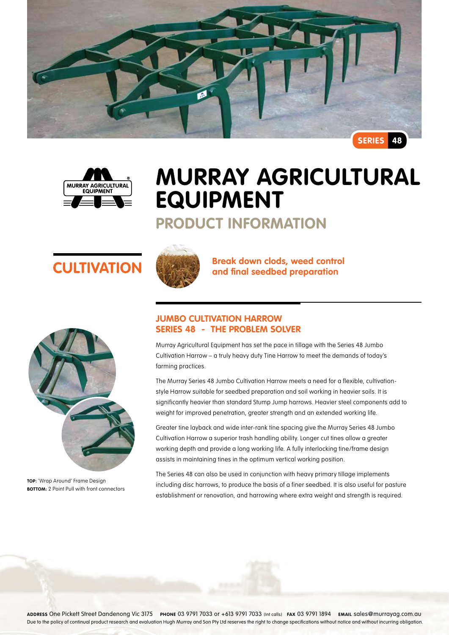



# **Murray Agricultural Equipment**

### **Product Information**





**TOP:** 'Wrap Around' Frame Design **BOTTOM:** 2 Point Pull with front connectors



**CULTIVATION Break down clods, weed control and final seedbed preparation** 

### **Jumbo Cultivation Harrow Series 48 - The problem solver**

Murray Agricultural Equipment has set the pace in tillage with the Series 48 Jumbo Cultivation Harrow – a truly heavy duty Tine Harrow to meet the demands of today's farming practices.

The Murray Series 48 Jumbo Cultivation Harrow meets a need for a flexible, cultivationstyle Harrow suitable for seedbed preparation and soil working in heavier soils. It is significantly heavier than standard Stump Jump harrows. Heavier steel components add to weight for improved penetration, greater strength and an extended working life.

Greater tine layback and wide inter-rank tine spacing give the Murray Series 48 Jumbo Cultivation Harrow a superior trash handling ability. Longer cut tines allow a greater working depth and provide a long working life. A fully interlocking tine/frame design assists in maintaining tines in the optimum vertical working position.

The Series 48 can also be used in conjunction with heavy primary tillage implements including disc harrows, to produce the basis of a finer seedbed. It is also useful for pasture establishment or renovation, and harrowing where extra weight and strength is required.